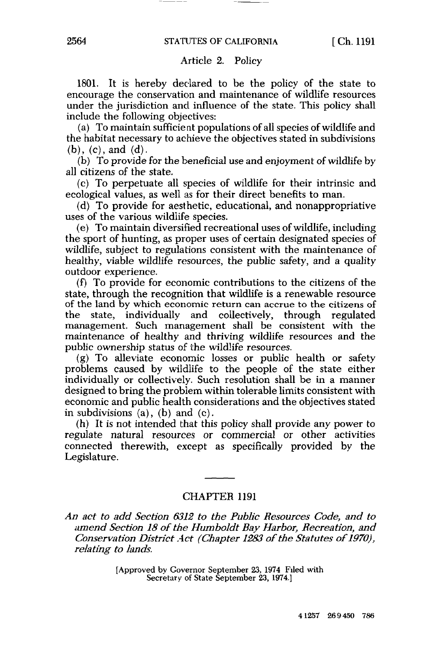## CHAPTER 1191

*An act to add Section 6312 to the Public Resources Code, and to amend Section 18 of the Humboldt Bay Harbor, Recreation, and Conservation District Act (Chapter 1283 of the Statutes of 1970), relating to lands.* 

[Approved by Governor September 23, 1974 Filed with Secretary of State September 23, 1974.]

## 4 1257 26 9 450 786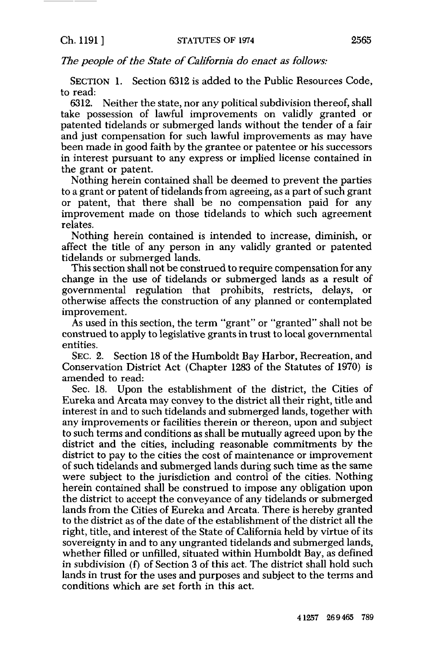*The people of the State of California do enact as follows:* 

SECTION 1. Section 6312 is added to the Public Resources Code, to read:

6312. Neither the state, nor any political subdivision thereof, shall take possession of lawful improvements on validly granted or patented tidelands or submerged lands without the tender of a fair and just compensation for such lawful improvements as may have been made in good faith by the grantee or patentee or his successors in interest pursuant to any express or implied license contained in the grant or patent.

Nothing herein contained shall be deemed to prevent the parties to a grant or patent of tidelands from agreeing, as a part of such grant or patent, that there shall be no compensation paid for any improvement made on those tidelands to which such agreement relates.

Nothing herein contained is intended to increase, diminish, or affect the title of any person in any validly granted or patented tidelands or submerged lands.

This section shall not be construed to require compensation for any change in the use of tidelands or submerged lands as a result of governmental regulation that prohibits, restricts, delays, or otherwise affects the construction of any planned or contemplated improvement.

As used in this section, the term "grant" or "granted" shall not be construed to apply to legislative grants in trust to local governmental entities.

SEC. 2. Section 18 of the Humboldt Bay Harbor, Recreation, and Conservation District Act (Chapter 1283 of the Statutes of 1970) is amended to read:

Sec. 18. Upon the establishment of the district, the Cities of Eureka and Arcata may convey to the district all their right, title and interest in and to such tidelands and submerged lands, together with any improvements or facilities therein or thereon, upon and subject to such terms and conditions as shall be mutually agreed upon by the district and the cities, including reasonable commitments by the district to pay to the cities the cost of maintenance or improvement of such tidelands and submerged lands during such time as the same were subject to the jurisdiction and control of the cities. Nothing herein contained shall be construed to impose any obligation upon the district to accept the conveyance of any tidelands or submerged lands from the Cities of Eureka and Arcata. There is hereby granted to the district as of the date of the establishment of the district all the right, title, and interest of the State of California held by virtue of its sovereignty in and to any ungranted tidelands and submerged lands, whether filled or unfilled, situated within Humboldt Bay, as defined in subdivision (f) of Section 3 of this act. The district shall hold such lands in trust for the uses and purposes and subject to the terms and conditions which are set forth in this act.